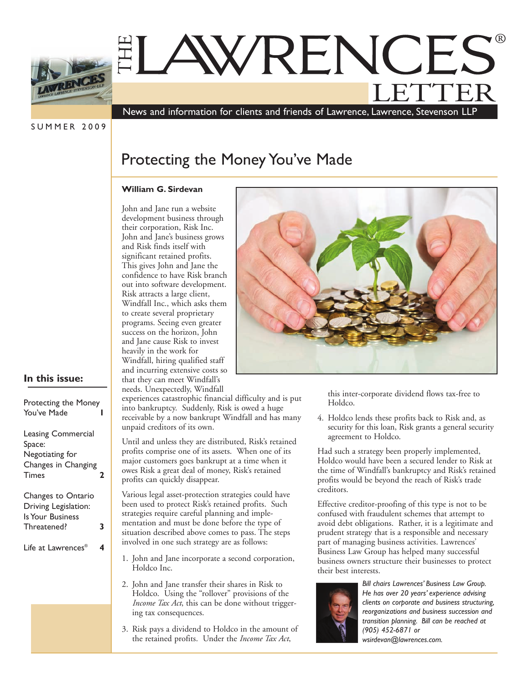

# THE LETTER ®

News and information for clients and friends of Lawrence, Lawrence, Stevenson LLP

**SUMMER 2009** 

# Protecting the Money You've Made

## **William G. Sirdevan**

John and Jane run a website development business through their corporation, Risk Inc. John and Jane's business grows and Risk finds itself with significant retained profits. This gives John and Jane the confidence to have Risk branch out into software development. Risk attracts a large client, Windfall Inc., which asks them to create several proprietary programs. Seeing even greater success on the horizon, John and Jane cause Risk to invest heavily in the work for Windfall, hiring qualified staff and incurring extensive costs so that they can meet Windfall's needs. Unexpectedly, Windfall



# **In this issue:**

| Protecting the Money      |              |
|---------------------------|--------------|
| You've Made               | $\mathbf{i}$ |
|                           | ľ            |
|                           | ι            |
| <b>Leasing Commercial</b> | ι            |
| Space:                    |              |
| Negotiating for           | F            |
| Changes in Changing       | ľ            |
| <b>Times</b><br>2         | Ċ            |
|                           | F            |
| Changes to Ontario        |              |
| Driving Legislation:      | ŀ            |
| Is Your Business          | S            |
|                           | ľ            |
| Threatened?<br>3          |              |
|                           | S            |
|                           | $\mathbf{i}$ |
| Life at Lawrences®<br>4   |              |
|                           | 1            |
|                           |              |

experiences catastrophic financial difficulty and is put into bankruptcy. Suddenly, Risk is owed a huge receivable by a now bankrupt Windfall and has many unpaid creditors of its own.

Until and unless they are distributed, Risk's retained profits comprise one of its assets. When one of its major customers goes bankrupt at a time when it owes Risk a great deal of money, Risk's retained profits can quickly disappear.

Various legal asset-protection strategies could have been used to protect Risk's retained profits. Such strategies require careful planning and implementation and must be done before the type of situation described above comes to pass. The steps nvolved in one such strategy are as follows:

- 1. John and Jane incorporate a second corporation, Holdco Inc.
- 2. John and Jane transfer their shares in Risk to Holdco. Using the "rollover" provisions of the *Income Tax Act*, this can be done without triggering tax consequences.
- 3. Risk pays a dividend to Holdco in the amount of the retained profits. Under the *Income Tax Act*,

this inter-corporate dividend flows tax-free to Holdco.

4. Holdco lends these profits back to Risk and, as security for this loan, Risk grants a general security agreement to Holdco.

Had such a strategy been properly implemented, Holdco would have been a secured lender to Risk at the time of Windfall's bankruptcy and Risk's retained profits would be beyond the reach of Risk's trade creditors.

Effective creditor-proofing of this type is not to be confused with fraudulent schemes that attempt to avoid debt obligations. Rather, it is a legitimate and prudent strategy that is a responsible and necessary part of managing business activities. Lawrences' Business Law Group has helped many successful business owners structure their businesses to protect their best interests.



*Bill chairs Lawrences' Business Law Group. He has over 20 years' experience advising clients on corporate and business structuring, reorganizations and business succession and transition planning. Bill can be reached at (905) 452-6871 or wsirdevan@lawrences.com.*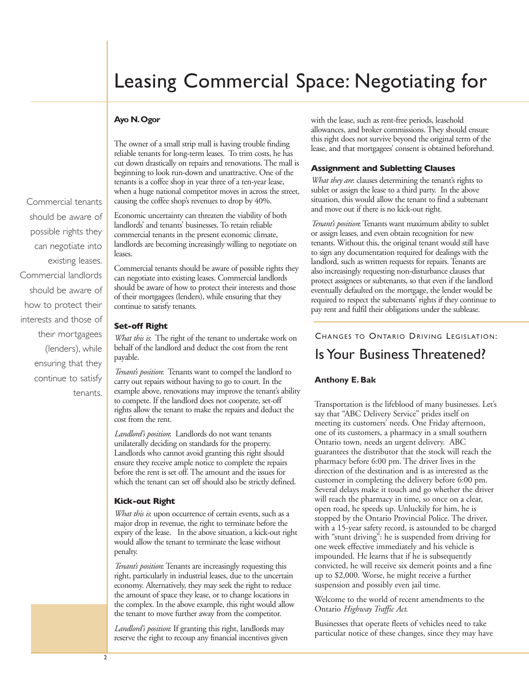# Leasing Commercial Space: Negotiating for

## **Ayo N. Ogor**

The owner of a small strip mall is having trouble finding reliable tenants for long-term leases. To trim costs, he has cut down drastically on repairs and renovations. The mall is beginning to look run-down and unattractive. One of the tenants is a coffee shop in year three of a ten-year lease, when a huge national competitor moves in across the street, causing the coffee shop's revenues to drop by 40%.

Economic uncertainty can threaten the viability of both landlords' and tenants' businesses. To retain reliable commercial tenants in the present economic climate, landlords are becoming increasingly willing to negotiate on leases.

Commercial tenants should be aware of possible rights they can negotiate into existing leases. Commercial landlords should be aware of how to protect their interests and those of their mortgagees (lenders), while ensuring that they continue to satisfy tenants.

#### **Set-off Right**

*What this is*: The right of the tenant to undertake work on behalf of the landlord and deduct the cost from the rent payable.

*Tenant's position*: Tenants want to compel the landlord to carry out repairs without having to go to court. In the example above, renovations may improve the tenant's ability to compete. If the landlord does not cooperate, set-off rights allow the tenant to make the repairs and deduct the cost from the rent.

*Landlord's position*: Landlords do not want tenants unilaterally deciding on standards for the property. Landlords who cannot avoid granting this right should ensure they receive ample notice to complete the repairs before the rent is set off. The amount and the issues for which the tenant can set off should also be strictly defined.

#### **Kick-out Right**

*What this is*: upon occurrence of certain events, such as a major drop in revenue, the right to terminate before the expiry of the lease. In the above situation, a kick-out right would allow the tenant to terminate the lease without penalty.

*Tenant's position*: Tenants are increasingly requesting this right, particularly in industrial leases, due to the uncertain economy. Alternatively, they may seek the right to reduce the amount of space they lease, or to change locations in the complex. In the above example, this right would allow the tenant to move further away from the competitor.

*Landlord's position*: If granting this right, landlords may reserve the right to recoup any financial incentives given

with the lease, such as rent-free periods, leasehold allowances, and broker commissions. They should ensure this right does not survive beyond the original term of the lease, and that mortgagees' consent is obtained beforehand.

### **Assignment and Subletting Clauses**

*What they are*: clauses determining the tenant's rights to sublet or assign the lease to a third party. In the above situation, this would allow the tenant to find a subtenant and move out if there is no kick-out right.

*Tenant's position*: Tenants want maximum ability to sublet or assign leases, and even obtain recognition for new tenants. Without this, the original tenant would still have to sign any documentation required for dealings with the landlord, such as written requests for repairs. Tenants are also increasingly requesting non-disturbance clauses that protect assignees or subtenants, so that even if the landlord eventually defaulted on the mortgage, the lender would be required to respect the subtenants' rights if they continue to pay rent and fulfil their obligations under the sublease.

# CHANGES TO ONTARIO DRIVING LEGISLATION: is Your Business Threatened?

#### **Anthony E. Bak**

Transportation is the lifeblood of many businesses. Let's say that "ABC Delivery Service" prides itself on meeting its customers' needs. One Friday afternoon, one of its customers, a pharmacy in a small southern Ontario town, needs an urgent delivery. ABC guarantees the distributor that the stock will reach the pharmacy before 6:00 pm. The driver lives in the direction of the destination and is as interested as the customer in completing the delivery before 6:00 pm. Several delays make it touch and go whether the driver will reach the pharmacy in time, so once on a clear, open road, he speeds up. Unluckily for him, he is stopped by the Ontario Provincial Police. The driver, with a 15-year safety record, is astounded to be charged with "stunt driving": he is suspended from driving for one week effective immediately and his vehicle is impounded. He learns that if he is subsequently convicted, he will receive six demerit points and a fine up to \$2,000. Worse, he might receive a further suspension and possibly even jail time.

Welcome to the world of recent amendments to the Ontario *Highway Traffic Act*.

Businesses that operate fleets of vehicles need to take particular notice of these changes, since they may have

Commercial tenants should be aware of possible rights they can negotiate into existing leases. Commercial landlords should be aware of how to protect their interests and those of their mortgagees (lenders), while ensuring that they continue to satisfy tenants.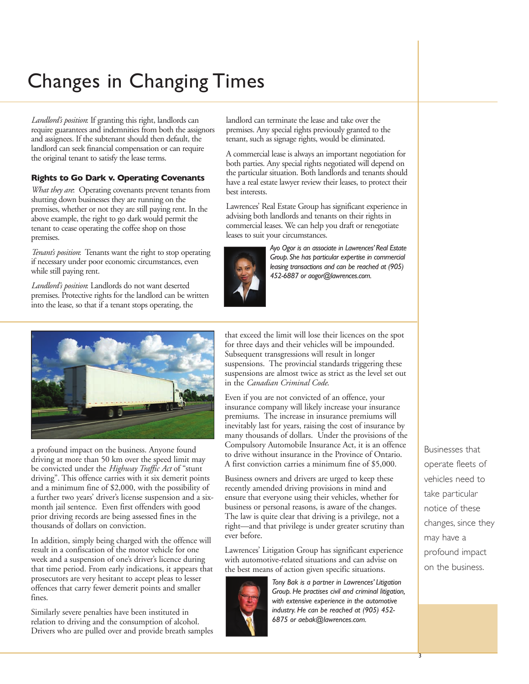# Changes in Changing Times

*Landlord's position*: If granting this right, landlords can require guarantees and indemnities from both the assignors and assignees. If the subtenant should then default, the landlord can seek financial compensation or can require the original tenant to satisfy the lease terms.

## **Rights to Go Dark v. Operating Covenants**

*What they are*: Operating covenants prevent tenants from shutting down businesses they are running on the premises, whether or not they are still paying rent. In the above example, the right to go dark would permit the tenant to cease operating the coffee shop on those premises.

*Tenant's position*: Tenants want the right to stop operating if necessary under poor economic circumstances, even while still paying rent.

*Landlord's position*: Landlords do not want deserted premises. Protective rights for the landlord can be written into the lease, so that if a tenant stops operating, the

a profound impact on the business. Anyone found driving at more than 50 km over the speed limit may be convicted under the *Highway Traffic Act* of "stunt driving". This offence carries with it six demerit points and a minimum fine of \$2,000, with the possibility of a further two years' driver's license suspension and a sixmonth jail sentence. Even first offenders with good prior driving records are being assessed fines in the thousands of dollars on conviction.

In addition, simply being charged with the offence will result in a confiscation of the motor vehicle for one week and a suspension of one's driver's licence during that time period. From early indications, it appears that prosecutors are very hesitant to accept pleas to lesser offences that carry fewer demerit points and smaller fines.

Similarly severe penalties have been instituted in relation to driving and the consumption of alcohol. Drivers who are pulled over and provide breath samples landlord can terminate the lease and take over the premises. Any special rights previously granted to the tenant, such as signage rights, would be eliminated.

A commercial lease is always an important negotiation for both parties. Any special rights negotiated will depend on the particular situation. Both landlords and tenants should have a real estate lawyer review their leases, to protect their best interests.

Lawrences' Real Estate Group has significant experience in advising both landlords and tenants on their rights in commercial leases. We can help you draft or renegotiate leases to suit your circumstances.



*Ayo Ogor is an associate in Lawrences' Real Estate Group. She has particular expertise in commercial leasing transactions and can be reached at (905) 452-6887 or aogor@lawrences.com.*

that exceed the limit will lose their licences on the spot for three days and their vehicles will be impounded. Subsequent transgressions will result in longer suspensions. The provincial standards triggering these suspensions are almost twice as strict as the level set out in the *Canadian Criminal Code*.

Even if you are not convicted of an offence, your insurance company will likely increase your insurance premiums. The increase in insurance premiums will inevitably last for years, raising the cost of insurance by many thousands of dollars. Under the provisions of the Compulsory Automobile Insurance Act, it is an offence to drive without insurance in the Province of Ontario. A first conviction carries a minimum fine of \$5,000.

Business owners and drivers are urged to keep these recently amended driving provisions in mind and ensure that everyone using their vehicles, whether for business or personal reasons, is aware of the changes. The law is quite clear that driving is a privilege, not a right—and that privilege is under greater scrutiny than ever before.

Lawrences' Litigation Group has significant experience with automotive-related situations and can advise on the best means of action given specific situations.



*Tony Bak is a partner in Lawrences' Litigation Group. He practises civil and criminal litigation, with extensive experience in the automotive industry. He can be reached at (905) 452- 6875 or aebak@lawrences.com.*

Businesses that operate fleets of vehicles need to take particular notice of these changes, since they may have a profound impact on the business.